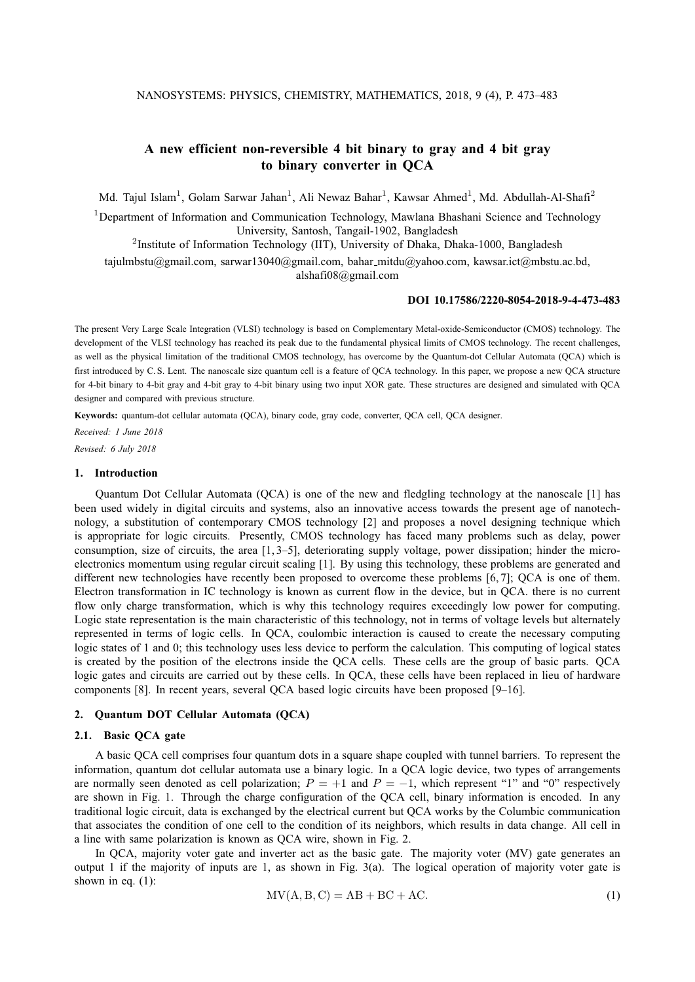# **A new efficient non-reversible 4 bit binary to gray and 4 bit gray to binary converter in QCA**

Md. Tajul Islam<sup>1</sup>, Golam Sarwar Jahan<sup>1</sup>, Ali Newaz Bahar<sup>1</sup>, Kawsar Ahmed<sup>1</sup>, Md. Abdullah-Al-Shafi<sup>2</sup>

<sup>1</sup>Department of Information and Communication Technology, Mawlana Bhashani Science and Technology University, Santosh, Tangail-1902, Bangladesh

<sup>2</sup>Institute of Information Technology (IIT), University of Dhaka, Dhaka-1000, Bangladesh

tajulmbstu@gmail.com, sarwar13040@gmail.com, bahar mitdu@yahoo.com, kawsar.ict@mbstu.ac.bd, alshafi08@gmail.com

#### **DOI 10.17586/2220-8054-2018-9-4-473-483**

The present Very Large Scale Integration (VLSI) technology is based on Complementary Metal-oxide-Semiconductor (CMOS) technology. The development of the VLSI technology has reached its peak due to the fundamental physical limits of CMOS technology. The recent challenges, as well as the physical limitation of the traditional CMOS technology, has overcome by the Quantum-dot Cellular Automata (QCA) which is first introduced by C. S. Lent. The nanoscale size quantum cell is a feature of QCA technology. In this paper, we propose a new QCA structure for 4-bit binary to 4-bit gray and 4-bit gray to 4-bit binary using two input XOR gate. These structures are designed and simulated with QCA designer and compared with previous structure.

**Keywords:** quantum-dot cellular automata (QCA), binary code, gray code, converter, QCA cell, QCA designer.

*Received: 1 June 2018 Revised: 6 July 2018*

#### **1. Introduction**

Quantum Dot Cellular Automata (QCA) is one of the new and fledgling technology at the nanoscale [1] has been used widely in digital circuits and systems, also an innovative access towards the present age of nanotechnology, a substitution of contemporary CMOS technology [2] and proposes a novel designing technique which is appropriate for logic circuits. Presently, CMOS technology has faced many problems such as delay, power consumption, size of circuits, the area [1, 3–5], deteriorating supply voltage, power dissipation; hinder the microelectronics momentum using regular circuit scaling [1]. By using this technology, these problems are generated and different new technologies have recently been proposed to overcome these problems [6, 7]; QCA is one of them. Electron transformation in IC technology is known as current flow in the device, but in QCA. there is no current flow only charge transformation, which is why this technology requires exceedingly low power for computing. Logic state representation is the main characteristic of this technology, not in terms of voltage levels but alternately represented in terms of logic cells. In QCA, coulombic interaction is caused to create the necessary computing logic states of 1 and 0; this technology uses less device to perform the calculation. This computing of logical states is created by the position of the electrons inside the QCA cells. These cells are the group of basic parts. QCA logic gates and circuits are carried out by these cells. In QCA, these cells have been replaced in lieu of hardware components [8]. In recent years, several QCA based logic circuits have been proposed [9–16].

# **2. Quantum DOT Cellular Automata (QCA)**

### **2.1. Basic QCA gate**

A basic QCA cell comprises four quantum dots in a square shape coupled with tunnel barriers. To represent the information, quantum dot cellular automata use a binary logic. In a QCA logic device, two types of arrangements are normally seen denoted as cell polarization;  $P = +1$  and  $P = -1$ , which represent "1" and "0" respectively are shown in Fig. 1. Through the charge configuration of the QCA cell, binary information is encoded. In any traditional logic circuit, data is exchanged by the electrical current but QCA works by the Columbic communication that associates the condition of one cell to the condition of its neighbors, which results in data change. All cell in a line with same polarization is known as QCA wire, shown in Fig. 2.

In QCA, majority voter gate and inverter act as the basic gate. The majority voter (MV) gate generates an output 1 if the majority of inputs are 1, as shown in Fig. 3(a). The logical operation of majority voter gate is shown in eq.  $(1)$ :

$$
MV(A, B, C) = AB + BC + AC.
$$
 (1)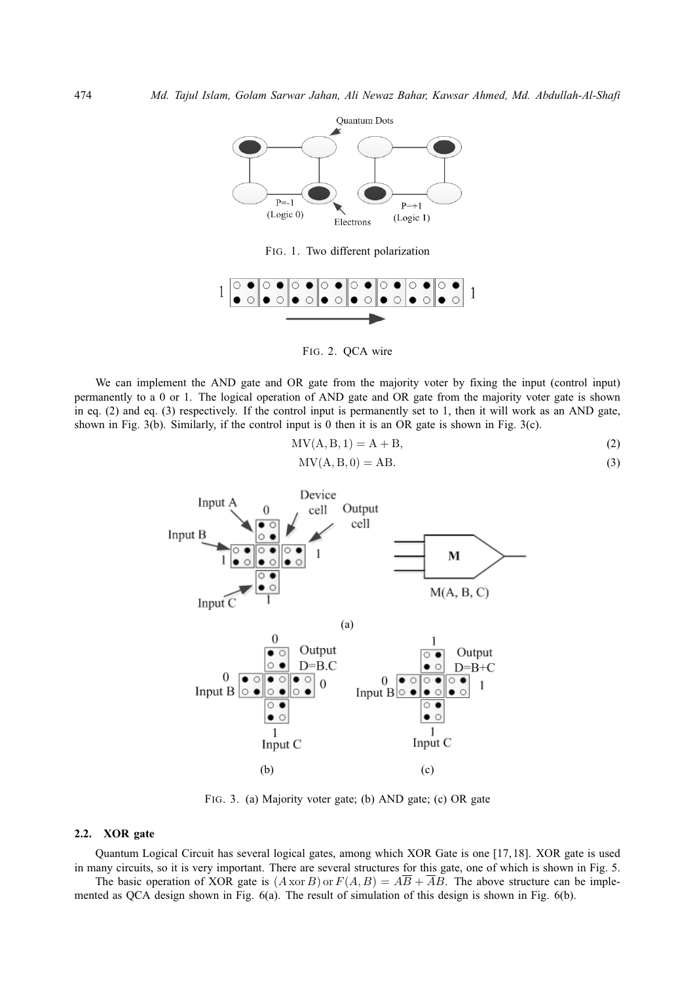

FIG. 1. Two different polarization



FIG. 2. QCA wire

We can implement the AND gate and OR gate from the majority voter by fixing the input (control input) permanently to a 0 or 1. The logical operation of AND gate and OR gate from the majority voter gate is shown in eq. (2) and eq. (3) respectively. If the control input is permanently set to 1, then it will work as an AND gate, shown in Fig. 3(b). Similarly, if the control input is 0 then it is an OR gate is shown in Fig. 3(c).

$$
MV(A, B, 1) = A + B,\t(2)
$$

$$
MV(A, B, 0) = AB.
$$
\n(3)



FIG. 3. (a) Majority voter gate; (b) AND gate; (c) OR gate

### **2.2. XOR gate**

Quantum Logical Circuit has several logical gates, among which XOR Gate is one [17, 18]. XOR gate is used in many circuits, so it is very important. There are several structures for this gate, one of which is shown in Fig. 5.

The basic operation of XOR gate is  $(A \text{ xor } B)$  or  $F(A, B) = A\overline{B} + \overline{A}B$ . The above structure can be implemented as QCA design shown in Fig. 6(a). The result of simulation of this design is shown in Fig. 6(b).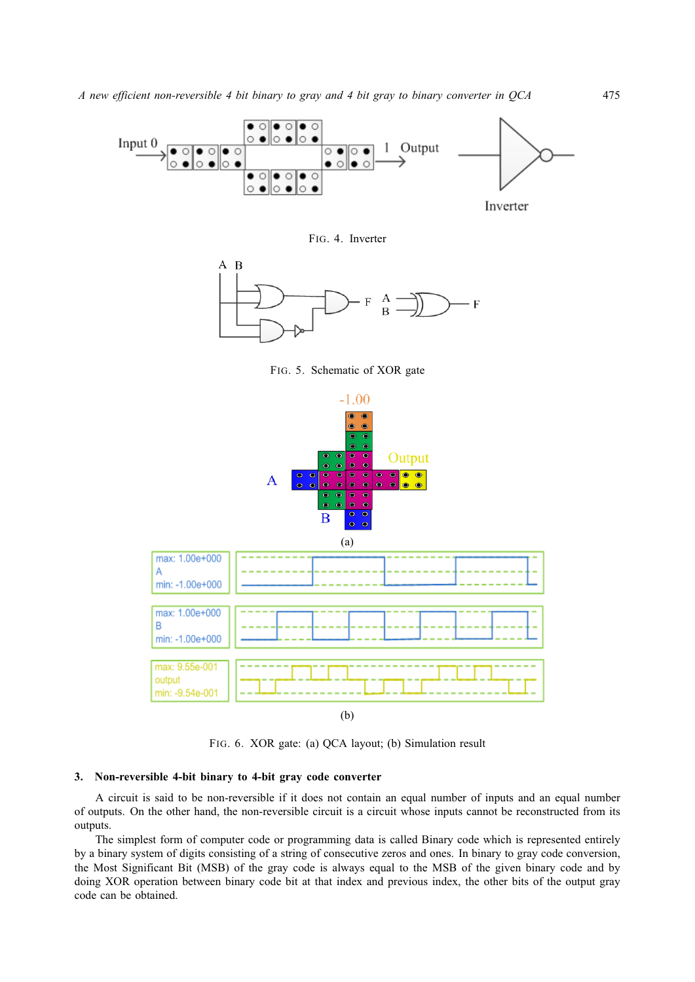

FIG. 4. Inverter



FIG. 5. Schematic of XOR gate



FIG. 6. XOR gate: (a) QCA layout; (b) Simulation result

## **3. Non-reversible 4-bit binary to 4-bit gray code converter**

A circuit is said to be non-reversible if it does not contain an equal number of inputs and an equal number of outputs. On the other hand, the non-reversible circuit is a circuit whose inputs cannot be reconstructed from its outputs.

The simplest form of computer code or programming data is called Binary code which is represented entirely by a binary system of digits consisting of a string of consecutive zeros and ones. In binary to gray code conversion, the Most Significant Bit (MSB) of the gray code is always equal to the MSB of the given binary code and by doing XOR operation between binary code bit at that index and previous index, the other bits of the output gray code can be obtained.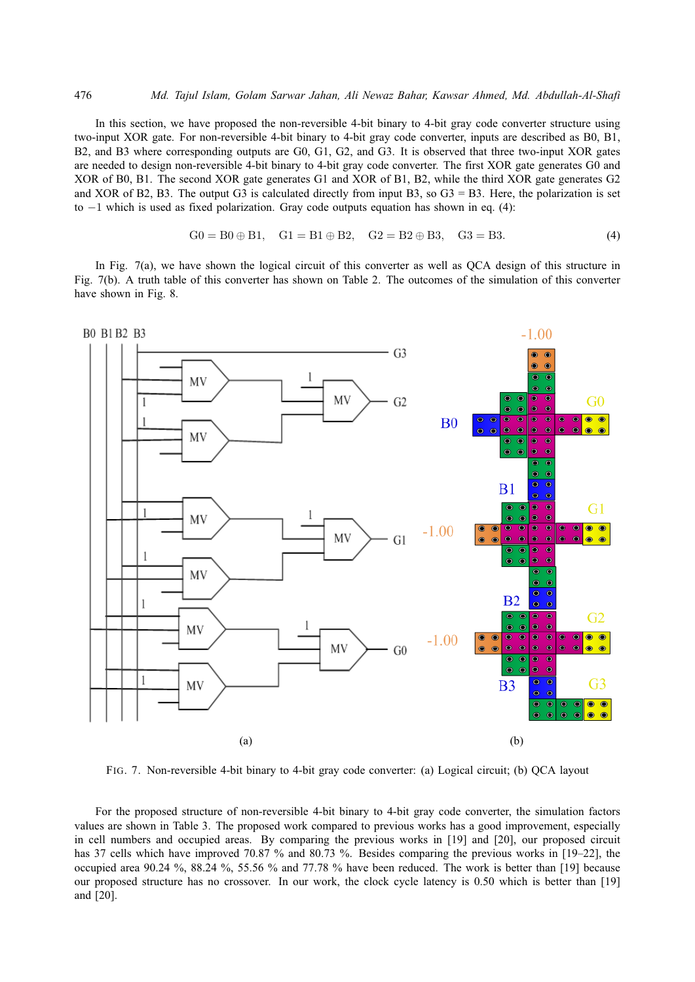In this section, we have proposed the non-reversible 4-bit binary to 4-bit gray code converter structure using two-input XOR gate. For non-reversible 4-bit binary to 4-bit gray code converter, inputs are described as B0, B1, B2, and B3 where corresponding outputs are G0, G1, G2, and G3. It is observed that three two-input XOR gates are needed to design non-reversible 4-bit binary to 4-bit gray code converter. The first XOR gate generates G0 and XOR of B0, B1. The second XOR gate generates G1 and XOR of B1, B2, while the third XOR gate generates G2 and XOR of B2, B3. The output G3 is calculated directly from input B3, so  $G3 = B3$ . Here, the polarization is set to −1 which is used as fixed polarization. Gray code outputs equation has shown in eq. (4):

$$
G0 = B0 \oplus B1, \quad G1 = B1 \oplus B2, \quad G2 = B2 \oplus B3, \quad G3 = B3. \tag{4}
$$

In Fig. 7(a), we have shown the logical circuit of this converter as well as QCA design of this structure in Fig. 7(b). A truth table of this converter has shown on Table 2. The outcomes of the simulation of this converter have shown in Fig. 8.



FIG. 7. Non-reversible 4-bit binary to 4-bit gray code converter: (a) Logical circuit; (b) QCA layout

For the proposed structure of non-reversible 4-bit binary to 4-bit gray code converter, the simulation factors values are shown in Table 3. The proposed work compared to previous works has a good improvement, especially in cell numbers and occupied areas. By comparing the previous works in [19] and [20], our proposed circuit has 37 cells which have improved 70.87 % and 80.73 %. Besides comparing the previous works in [19–22], the occupied area 90.24 %, 88.24 %, 55.56 % and 77.78 % have been reduced. The work is better than [19] because our proposed structure has no crossover. In our work, the clock cycle latency is 0.50 which is better than [19] and [20].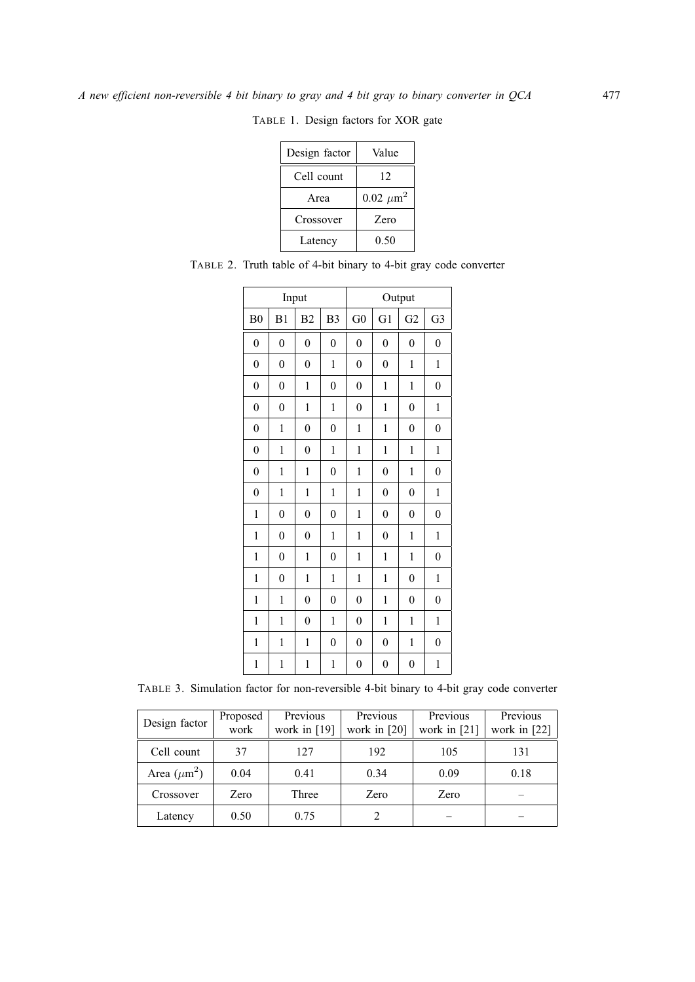| Design factor | Value            |
|---------------|------------------|
| Cell count    | 12               |
| Area          | $0.02 \ \mu m^2$ |
| Crossover     | Zero             |
| Latency       | 0.50             |

TABLE 1. Design factors for XOR gate

| Input            |                  |                  |                  | Output           |                  |                  |                  |  |
|------------------|------------------|------------------|------------------|------------------|------------------|------------------|------------------|--|
| B <sub>0</sub>   | B1               | B <sub>2</sub>   | B <sub>3</sub>   | G <sub>0</sub>   | G <sub>1</sub>   | G <sub>2</sub>   | G <sub>3</sub>   |  |
| $\boldsymbol{0}$ | $\overline{0}$   | $\overline{0}$   | $\overline{0}$   | $\overline{0}$   | $\overline{0}$   | $\overline{0}$   | $\overline{0}$   |  |
| $\boldsymbol{0}$ | $\boldsymbol{0}$ | $\boldsymbol{0}$ | 1                | $\boldsymbol{0}$ | $\boldsymbol{0}$ | 1                | 1                |  |
| $\boldsymbol{0}$ | $\boldsymbol{0}$ | $\mathbf{1}$     | 0                | $\boldsymbol{0}$ | 1                | 1                | $\boldsymbol{0}$ |  |
| $\boldsymbol{0}$ | $\overline{0}$   | $\mathbf{1}$     | 1                | $\overline{0}$   | $\mathbf{1}$     | $\overline{0}$   | 1                |  |
| $\boldsymbol{0}$ | 1                | $\boldsymbol{0}$ | $\overline{0}$   | 1                | 1                | $\overline{0}$   | $\boldsymbol{0}$ |  |
| $\boldsymbol{0}$ | 1                | $\overline{0}$   | 1                | 1                | 1                | 1                | 1                |  |
| $\boldsymbol{0}$ | 1                | 1                | $\boldsymbol{0}$ | $\mathbf{1}$     | $\overline{0}$   | 1                | $\boldsymbol{0}$ |  |
| $\boldsymbol{0}$ | $\mathbf{1}$     | 1                | $\mathbf{1}$     | $\mathbf 1$      | $\boldsymbol{0}$ | $\boldsymbol{0}$ | 1                |  |
| $\mathbf{1}$     | $\overline{0}$   | $\overline{0}$   | $\overline{0}$   | $\mathbf{1}$     | $\overline{0}$   | $\boldsymbol{0}$ | $\overline{0}$   |  |
| $\mathbf{1}$     | $\boldsymbol{0}$ | $\theta$         | $\mathbf{1}$     | $\mathbf 1$      | $\boldsymbol{0}$ | 1                | $\mathbf{1}$     |  |
| $\mathbf{1}$     | $\boldsymbol{0}$ | $\mathbf{1}$     | $\overline{0}$   | $\,1$            | $\,1$            | 1                | $\boldsymbol{0}$ |  |
| $\mathbf{1}$     | $\boldsymbol{0}$ | $\mathbf{1}$     | 1                | 1                | $\mathbf{1}$     | $\boldsymbol{0}$ | 1                |  |
| $\mathbf{1}$     | 1                | $\boldsymbol{0}$ | $\overline{0}$   | $\boldsymbol{0}$ | 1                | $\boldsymbol{0}$ | $\boldsymbol{0}$ |  |
| $\mathbf{1}$     | 1                | $\boldsymbol{0}$ | $\mathbf 1$      | $\overline{0}$   | 1                | $\mathbf{1}$     | $\mathbf{1}$     |  |
| 1                | 1                | 1                | 0                | $\overline{0}$   | $\overline{0}$   | 1                | $\boldsymbol{0}$ |  |
| $\mathbf{1}$     | $\mathbf{1}$     | $\mathbf{1}$     | 1                | $\boldsymbol{0}$ | $\overline{0}$   | $\boldsymbol{0}$ | 1                |  |

TABLE 2. Truth table of 4-bit binary to 4-bit gray code converter

TABLE 3. Simulation factor for non-reversible 4-bit binary to 4-bit gray code converter

| Design factor    | Previous<br>Proposed<br>work<br>work in $[19]$ |       | Previous<br>work in $[20]$ | Previous<br>work in $[21]$ | Previous<br>work in [22] |  |
|------------------|------------------------------------------------|-------|----------------------------|----------------------------|--------------------------|--|
| Cell count       | 37                                             | 127   | 192                        | 105                        | 131                      |  |
| Area $(\mu m^2)$ | 0.04                                           | 0.41  | 0.34                       | 0.09                       | 0.18                     |  |
| Crossover        | Zero                                           | Three | Zero                       | Zero                       |                          |  |
| Latency          | 0.50                                           | 0.75  |                            |                            |                          |  |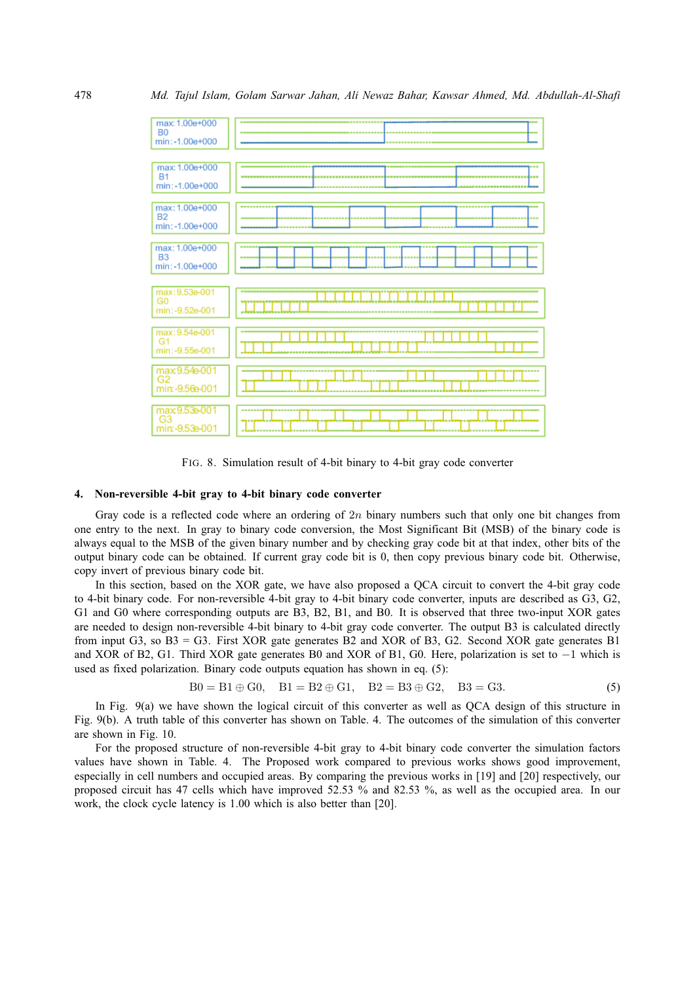

FIG. 8. Simulation result of 4-bit binary to 4-bit gray code converter

## **4. Non-reversible 4-bit gray to 4-bit binary code converter**

Gray code is a reflected code where an ordering of  $2n$  binary numbers such that only one bit changes from one entry to the next. In gray to binary code conversion, the Most Significant Bit (MSB) of the binary code is always equal to the MSB of the given binary number and by checking gray code bit at that index, other bits of the output binary code can be obtained. If current gray code bit is 0, then copy previous binary code bit. Otherwise, copy invert of previous binary code bit.

In this section, based on the XOR gate, we have also proposed a QCA circuit to convert the 4-bit gray code to 4-bit binary code. For non-reversible 4-bit gray to 4-bit binary code converter, inputs are described as G3, G2, G1 and G0 where corresponding outputs are B3, B2, B1, and B0. It is observed that three two-input XOR gates are needed to design non-reversible 4-bit binary to 4-bit gray code converter. The output B3 is calculated directly from input G3, so B3 = G3. First XOR gate generates B2 and XOR of B3, G2. Second XOR gate generates B1 and XOR of B2, G1. Third XOR gate generates B0 and XOR of B1, G0. Here, polarization is set to −1 which is used as fixed polarization. Binary code outputs equation has shown in eq. (5):

$$
B0 = B1 \oplus G0, \quad B1 = B2 \oplus G1, \quad B2 = B3 \oplus G2, \quad B3 = G3. \tag{5}
$$

In Fig. 9(a) we have shown the logical circuit of this converter as well as QCA design of this structure in Fig. 9(b). A truth table of this converter has shown on Table. 4. The outcomes of the simulation of this converter are shown in Fig. 10.

For the proposed structure of non-reversible 4-bit gray to 4-bit binary code converter the simulation factors values have shown in Table. 4. The Proposed work compared to previous works shows good improvement, especially in cell numbers and occupied areas. By comparing the previous works in [19] and [20] respectively, our proposed circuit has 47 cells which have improved 52.53 % and 82.53 %, as well as the occupied area. In our work, the clock cycle latency is 1.00 which is also better than [20].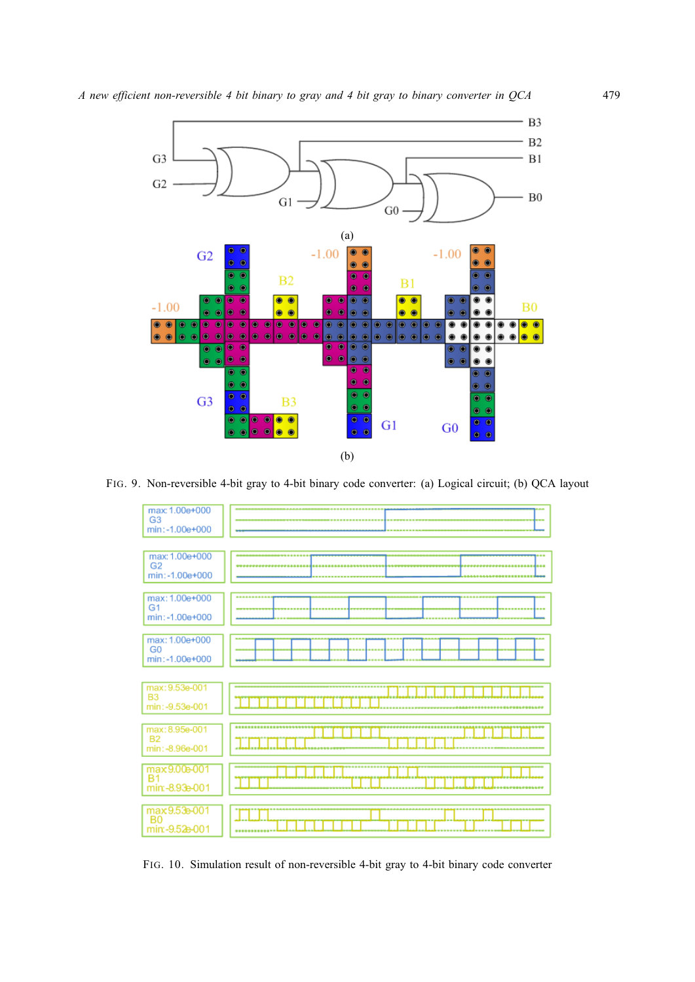

FIG. 9. Non-reversible 4-bit gray to 4-bit binary code converter: (a) Logical circuit; (b) QCA layout



FIG. 10. Simulation result of non-reversible 4-bit gray to 4-bit binary code converter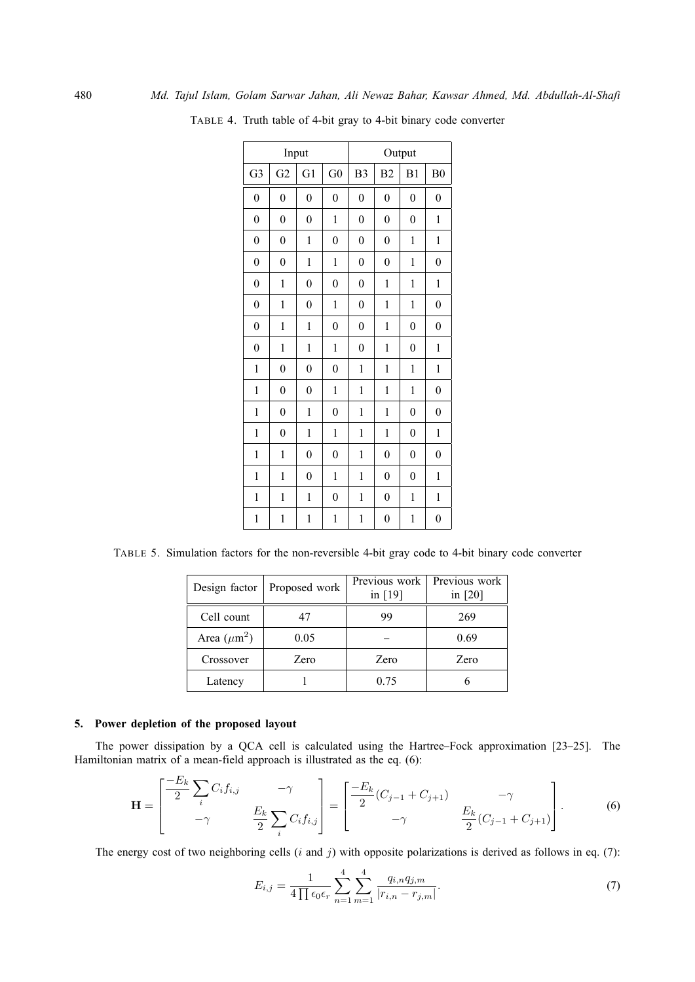| Input            |                  |                  |                  | Output           |                  |                  |                  |  |
|------------------|------------------|------------------|------------------|------------------|------------------|------------------|------------------|--|
| G <sub>3</sub>   | G <sub>2</sub>   | G <sub>1</sub>   | G <sub>0</sub>   | B <sub>3</sub>   | B <sub>2</sub>   | B1               | B <sub>0</sub>   |  |
| $\boldsymbol{0}$ | $\overline{0}$   | $\boldsymbol{0}$ | $\overline{0}$   | $\overline{0}$   | $\boldsymbol{0}$ | $\overline{0}$   | $\overline{0}$   |  |
| $\overline{0}$   | $\overline{0}$   | $\overline{0}$   | $\mathbf{1}$     | $\overline{0}$   | $\overline{0}$   | $\overline{0}$   | 1                |  |
| $\overline{0}$   | $\overline{0}$   | 1                | $\boldsymbol{0}$ | $\overline{0}$   | $\boldsymbol{0}$ | $\mathbf{1}$     | 1                |  |
| $\boldsymbol{0}$ | $\overline{0}$   | $\mathbf 1$      | 1                | $\overline{0}$   | $\boldsymbol{0}$ | $\mathbf{1}$     | $\boldsymbol{0}$ |  |
| $\overline{0}$   | $\mathbf{1}$     | $\boldsymbol{0}$ | $\boldsymbol{0}$ | $\overline{0}$   | 1                | $\mathbf{1}$     | 1                |  |
| $\boldsymbol{0}$ | 1                | $\boldsymbol{0}$ | $\mathbf{1}$     | $\boldsymbol{0}$ | $\mathbf{1}$     | $\mathbf{1}$     | $\boldsymbol{0}$ |  |
| $\boldsymbol{0}$ | 1                | 1                | 0                | $\pmb{0}$        | 1                | $\boldsymbol{0}$ | $\pmb{0}$        |  |
| $\boldsymbol{0}$ | 1                | 1                | 1                | $\boldsymbol{0}$ | 1                | $\boldsymbol{0}$ | 1                |  |
| $\mathbf{1}$     | $\overline{0}$   | $\boldsymbol{0}$ | $\boldsymbol{0}$ | 1                | $\mathbf{1}$     | 1                | $\mathbf{1}$     |  |
| $\mathbf{1}$     | $\overline{0}$   | $\overline{0}$   | $\mathbf{1}$     | 1                | $\mathbf{1}$     | $\mathbf{1}$     | $\overline{0}$   |  |
| $\mathbf{1}$     | $\boldsymbol{0}$ | $\mathbf 1$      | $\boldsymbol{0}$ | 1                | $\mathbf{1}$     | $\boldsymbol{0}$ | $\boldsymbol{0}$ |  |
| $\mathbf{1}$     | $\overline{0}$   | $\mathbf 1$      | $\mathbf{1}$     | 1                | $\mathbf{1}$     | $\boldsymbol{0}$ | 1                |  |
| $\mathbf{1}$     | $\mathbf{1}$     | $\boldsymbol{0}$ | $\boldsymbol{0}$ | 1                | $\boldsymbol{0}$ | $\overline{0}$   | $\boldsymbol{0}$ |  |
| $\mathbf{1}$     | $\mathbf{1}$     | $\boldsymbol{0}$ | $\mathbf{1}$     | $\mathbf{1}$     | $\boldsymbol{0}$ | $\overline{0}$   | $\mathbf 1$      |  |
| $\mathbf{1}$     | 1                | 1                | $\boldsymbol{0}$ | 1                | $\boldsymbol{0}$ | 1                | 1                |  |
| 1                | 1                | 1                | 1                | 1                | $\boldsymbol{0}$ | 1                | $\pmb{0}$        |  |

TABLE 4. Truth table of 4-bit gray to 4-bit binary code converter

TABLE 5. Simulation factors for the non-reversible 4-bit gray code to 4-bit binary code converter

| Design factor    | Proposed work | Previous work<br>in [19] | Previous work<br>in $[20]$ |  |
|------------------|---------------|--------------------------|----------------------------|--|
| Cell count       | 47            | 99                       | 269                        |  |
| Area $(\mu m^2)$ | 0.05          |                          | 0.69                       |  |
| Crossover        | Zero          | Zero                     | Zero                       |  |
| Latency          |               | 0.75                     |                            |  |

# **5. Power depletion of the proposed layout**

The power dissipation by a QCA cell is calculated using the Hartree–Fock approximation [23–25]. The Hamiltonian matrix of a mean-field approach is illustrated as the eq. (6):

$$
\mathbf{H} = \begin{bmatrix} \frac{-E_k}{2} \sum_i C_i f_{i,j} & -\gamma \\ -\gamma & \frac{E_k}{2} \sum_i C_i f_{i,j} \end{bmatrix} = \begin{bmatrix} \frac{-E_k}{2} (C_{j-1} + C_{j+1}) & -\gamma \\ -\gamma & \frac{E_k}{2} (C_{j-1} + C_{j+1}) \end{bmatrix} .
$$
 (6)

The energy cost of two neighboring cells  $(i$  and  $j)$  with opposite polarizations is derived as follows in eq. (7):

$$
E_{i,j} = \frac{1}{4\prod \epsilon_0 \epsilon_r} \sum_{n=1}^4 \sum_{m=1}^4 \frac{q_{i,n} q_{j,m}}{|r_{i,n} - r_{j,m}|}.
$$
 (7)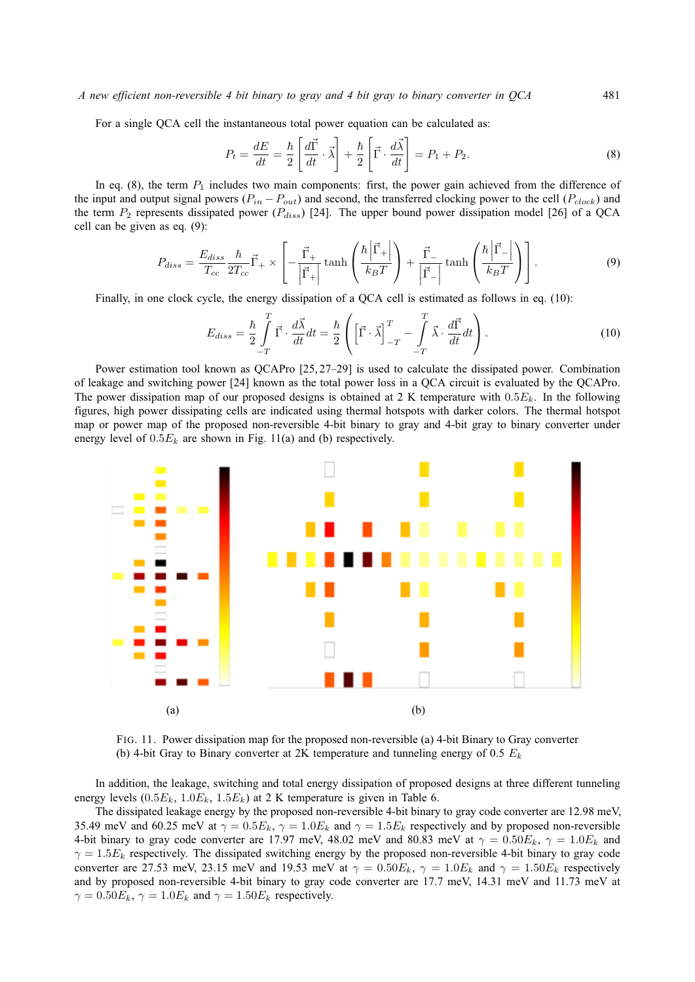*A new efficient non-reversible 4 bit binary to gray and 4 bit gray to binary converter in QCA* 481

For a single QCA cell the instantaneous total power equation can be calculated as:

$$
P_t = \frac{dE}{dt} = \frac{\hbar}{2} \left[ \frac{d\vec{\Gamma}}{dt} \cdot \vec{\lambda} \right] + \frac{\hbar}{2} \left[ \vec{\Gamma} \cdot \frac{d\vec{\lambda}}{dt} \right] = P_1 + P_2.
$$
 (8)

In eq. (8), the term  $P_1$  includes two main components: first, the power gain achieved from the difference of the input and output signal powers ( $P_{in} - P_{out}$ ) and second, the transferred clocking power to the cell ( $P_{clock}$ ) and the term  $P_2$  represents dissipated power ( $P_{diss}$ ) [24]. The upper bound power dissipation model [26] of a QCA cell can be given as eq. (9):

$$
P_{diss} = \frac{E_{diss}}{T_{cc}} \frac{\hbar}{2T_{cc}} \vec{\Gamma}_{+} \times \left[ -\frac{\vec{\Gamma}_{+}}{\left| \vec{\Gamma}_{+} \right|} \tanh\left(\frac{\hbar \left| \vec{\Gamma}_{+} \right|}{k_{B}T} \right) + \frac{\vec{\Gamma}_{-}}{\left| \vec{\Gamma}_{-} \right|} \tanh\left(\frac{\hbar \left| \vec{\Gamma}_{-} \right|}{k_{B}T} \right) \right]. \tag{9}
$$

Finally, in one clock cycle, the energy dissipation of a QCA cell is estimated as follows in eq. (10):

$$
E_{diss} = \frac{\hbar}{2} \int_{-T}^{T} \vec{\Gamma} \cdot \frac{d\vec{\lambda}}{dt} dt = \frac{\hbar}{2} \left( \left[ \vec{\Gamma} \cdot \vec{\lambda} \right]_{-T}^{T} - \int_{-T}^{T} \vec{\lambda} \cdot \frac{d\vec{\Gamma}}{dt} dt \right). \tag{10}
$$

Power estimation tool known as QCAPro [25, 27–29] is used to calculate the dissipated power. Combination of leakage and switching power [24] known as the total power loss in a QCA circuit is evaluated by the QCAPro. The power dissipation map of our proposed designs is obtained at 2 K temperature with  $0.5E_k$ . In the following figures, high power dissipating cells are indicated using thermal hotspots with darker colors. The thermal hotspot map or power map of the proposed non-reversible 4-bit binary to gray and 4-bit gray to binary converter under energy level of  $0.5E_k$  are shown in Fig. 11(a) and (b) respectively.



FIG. 11. Power dissipation map for the proposed non-reversible (a) 4-bit Binary to Gray converter (b) 4-bit Gray to Binary converter at 2K temperature and tunneling energy of 0.5  $E_k$ 

In addition, the leakage, switching and total energy dissipation of proposed designs at three different tunneling energy levels  $(0.5E_k, 1.0E_k, 1.5E_k)$  at 2 K temperature is given in Table 6.

The dissipated leakage energy by the proposed non-reversible 4-bit binary to gray code converter are 12.98 meV, 35.49 meV and 60.25 meV at  $\gamma = 0.5E_k$ ,  $\gamma = 1.0E_k$  and  $\gamma = 1.5E_k$  respectively and by proposed non-reversible 4-bit binary to gray code converter are 17.97 meV, 48.02 meV and 80.83 meV at  $\gamma = 0.50E_k$ ,  $\gamma = 1.0E_k$  and  $\gamma = 1.5E_k$  respectively. The dissipated switching energy by the proposed non-reversible 4-bit binary to gray code converter are 27.53 meV, 23.15 meV and 19.53 meV at  $\gamma = 0.50E_k$ ,  $\gamma = 1.0E_k$  and  $\gamma = 1.50E_k$  respectively and by proposed non-reversible 4-bit binary to gray code converter are 17.7 meV, 14.31 meV and 11.73 meV at  $\gamma = 0.50E_k$ ,  $\gamma = 1.0E_k$  and  $\gamma = 1.50E_k$  respectively.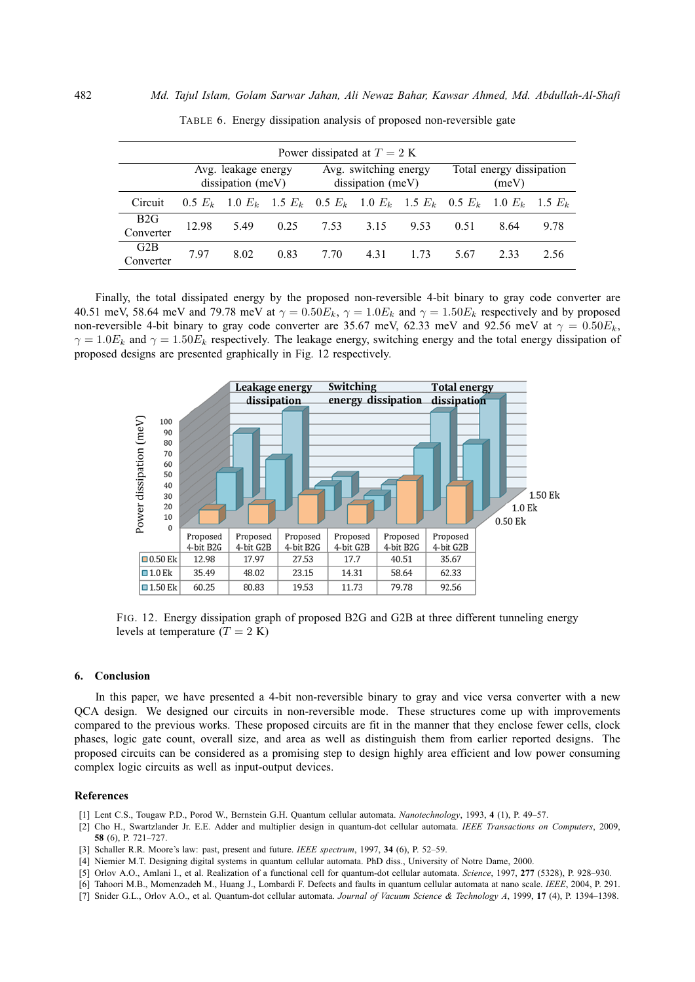| Power dissipated at $T = 2$ K |                                          |      |      |                                                                       |      |      |                                   |           |           |
|-------------------------------|------------------------------------------|------|------|-----------------------------------------------------------------------|------|------|-----------------------------------|-----------|-----------|
|                               | Avg. leakage energy<br>dissipation (meV) |      |      | Avg. switching energy<br>dissipation (meV)                            |      |      | Total energy dissipation<br>(meV) |           |           |
| Circuit                       |                                          |      |      | 0.5 $E_k$ 1.0 $E_k$ 1.5 $E_k$ 0.5 $E_k$ 1.0 $E_k$ 1.5 $E_k$ 0.5 $E_k$ |      |      |                                   | $1.0 E_k$ | $1.5 E_k$ |
| B2G<br>Converter              | 12.98                                    | 5.49 | 0.25 | 7.53                                                                  | 3.15 | 9.53 | 0.51                              | 8.64      | 9.78      |
| G2B<br>Converter              | 7.97                                     | 8.02 | 0.83 | 7.70                                                                  | 4.31 | 1.73 | 5.67                              | 2.33      | 2.56      |

TABLE 6. Energy dissipation analysis of proposed non-reversible gate

Finally, the total dissipated energy by the proposed non-reversible 4-bit binary to gray code converter are 40.51 meV, 58.64 meV and 79.78 meV at  $\gamma = 0.50E_k$ ,  $\gamma = 1.0E_k$  and  $\gamma = 1.50E_k$  respectively and by proposed non-reversible 4-bit binary to gray code converter are 35.67 meV, 62.33 meV and 92.56 meV at  $\gamma = 0.50E_k$ ,  $\gamma = 1.0E_k$  and  $\gamma = 1.50E_k$  respectively. The leakage energy, switching energy and the total energy dissipation of proposed designs are presented graphically in Fig. 12 respectively.



FIG. 12. Energy dissipation graph of proposed B2G and G2B at three different tunneling energy levels at temperature  $(T = 2 K)$ 

#### **6. Conclusion**

In this paper, we have presented a 4-bit non-reversible binary to gray and vice versa converter with a new QCA design. We designed our circuits in non-reversible mode. These structures come up with improvements compared to the previous works. These proposed circuits are fit in the manner that they enclose fewer cells, clock phases, logic gate count, overall size, and area as well as distinguish them from earlier reported designs. The proposed circuits can be considered as a promising step to design highly area efficient and low power consuming complex logic circuits as well as input-output devices.

### **References**

- [1] Lent C.S., Tougaw P.D., Porod W., Bernstein G.H. Quantum cellular automata. *Nanotechnology*, 1993, **4** (1), P. 49–57.
- [2] Cho H., Swartzlander Jr. E.E. Adder and multiplier design in quantum-dot cellular automata. *IEEE Transactions on Computers*, 2009, **58** (6), P. 721–727.
- [3] Schaller R.R. Moore's law: past, present and future. *IEEE spectrum*, 1997, **34** (6), P. 52–59.
- [4] Niemier M.T. Designing digital systems in quantum cellular automata. PhD diss., University of Notre Dame, 2000.
- [5] Orlov A.O., Amlani I., et al. Realization of a functional cell for quantum-dot cellular automata. *Science*, 1997, **277** (5328), P. 928–930.
- [6] Tahoori M.B., Momenzadeh M., Huang J., Lombardi F. Defects and faults in quantum cellular automata at nano scale. *IEEE*, 2004, P. 291.
- [7] Snider G.L., Orlov A.O., et al. Quantum-dot cellular automata. *Journal of Vacuum Science & Technology A*, 1999, **17** (4), P. 1394–1398.